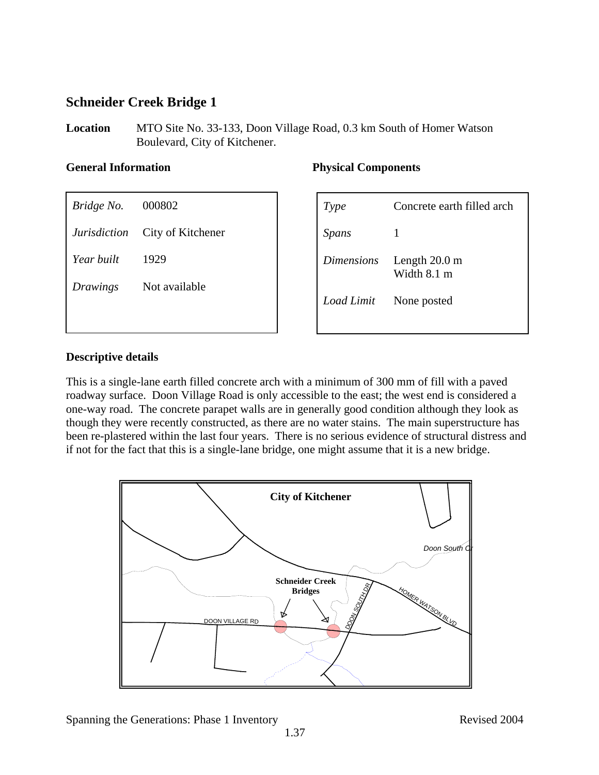## **Schneider Creek Bridge 1**

**Location** MTO Site No. 33-133, Doon Village Road, 0.3 km South of Homer Watson Boulevard, City of Kitchener.

*Bridge No.* 000802 *Jurisdiction* City of Kitchener *Year built* 1929 *Drawings* Not available

### **General Information Physical Components**

| <b>Type</b>  | Concrete earth filled arch              |
|--------------|-----------------------------------------|
| <b>Spans</b> |                                         |
|              | Dimensions Length 20.0 m<br>Width 8.1 m |
|              | Load Limit None posted                  |
|              |                                         |

### **Descriptive details**

This is a single-lane earth filled concrete arch with a minimum of 300 mm of fill with a paved roadway surface. Doon Village Road is only accessible to the east; the west end is considered a one-way road. The concrete parapet walls are in generally good condition although they look as though they were recently constructed, as there are no water stains. The main superstructure has been re-plastered within the last four years. There is no serious evidence of structural distress and if not for the fact that this is a single-lane bridge, one might assume that it is a new bridge.